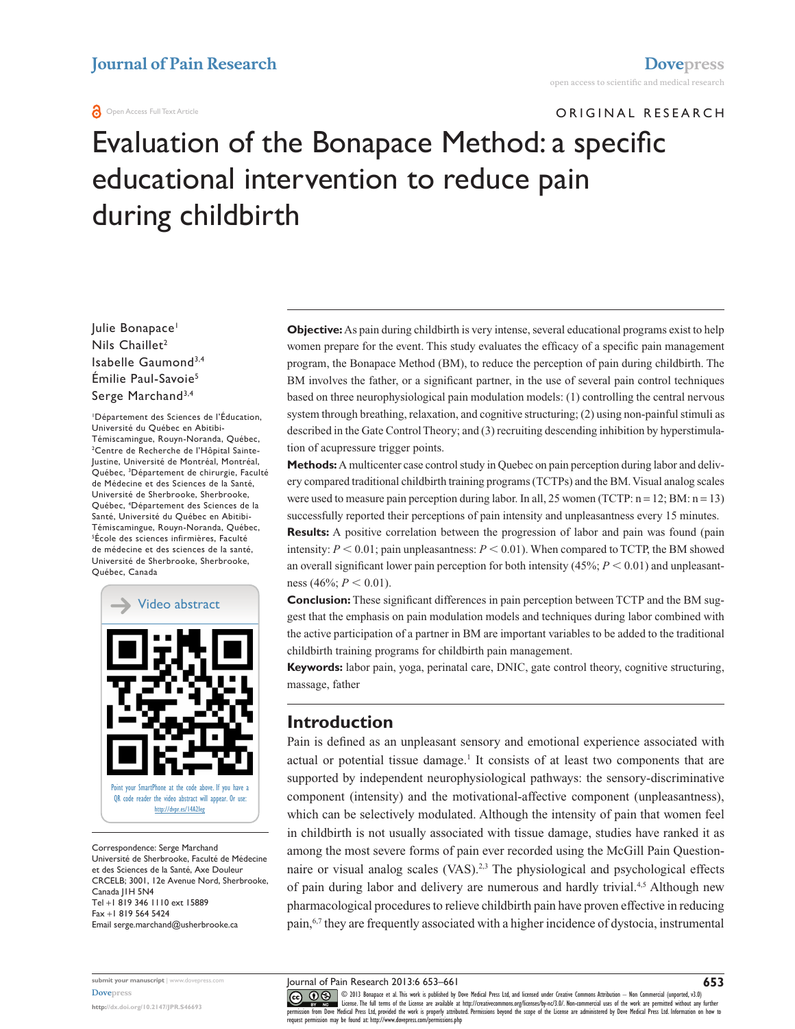#### **a** Open Access Full Text Article

ORIGINAL RESEARCH

# Evaluation of the Bonapace Method: a specific educational intervention to reduce pain during childbirth

Julie Bonapace<sup>1</sup> Nils Chaillet<sup>2</sup> Isabelle Gaumond3,4 Émilie Paul-Savoie<sup>5</sup> Serge Marchand<sup>3,4</sup>

1 Département des Sciences de l'Éducation, Université du Québec en Abitibi-Témiscamingue, Rouyn-Noranda, Québec, 2 Centre de Recherche de l'Hôpital Sainte-Justine, Université de Montréal, Montréal, Québec, 3 Département de chirurgie, Faculté de Médecine et des Sciences de la Santé, Université de Sherbrooke, Sherbrooke, Québec, 4 Département des Sciences de la Santé, Université du Québec en Abitibi-Témiscamingue, Rouyn-Noranda, Québec, 5 École des sciences infirmières, Faculté de médecine et des sciences de la santé, Université de Sherbrooke, Sherbrooke, Québec, Canada



Correspondence: Serge Marchand Université de Sherbrooke, Faculté de Médecine et des Sciences de la Santé, Axe Douleur CRCELB; 3001, 12e Avenue Nord, Sherbrooke, Canada J1H 5N4 Tel +1 819 346 1110 ext 15889  $Fax + 18195645424$ Email [serge.marchand@usherbrooke.ca](mailto:serge.marchand@usherbrooke.ca)

**Objective:** As pain during childbirth is very intense, several educational programs exist to help women prepare for the event. This study evaluates the efficacy of a specific pain management program, the Bonapace Method (BM), to reduce the perception of pain during childbirth. The BM involves the father, or a significant partner, in the use of several pain control techniques based on three neurophysiological pain modulation models: (1) controlling the central nervous system through breathing, relaxation, and cognitive structuring; (2) using non-painful stimuli as described in the Gate Control Theory; and (3) recruiting descending inhibition by hyperstimulation of acupressure trigger points.

**Methods:** A multicenter case control study in Quebec on pain perception during labor and delivery compared traditional childbirth training programs (TCTPs) and the BM. Visual analog scales were used to measure pain perception during labor. In all, 25 women (TCTP:  $n = 12$ ; BM:  $n = 13$ ) successfully reported their perceptions of pain intensity and unpleasantness every 15 minutes.

**Results:** A positive correlation between the progression of labor and pain was found (pain intensity:  $P < 0.01$ ; pain unpleasantness:  $P < 0.01$ ). When compared to TCTP, the BM showed an overall significant lower pain perception for both intensity  $(45\%; P \le 0.01)$  and unpleasantness (46%;  $P < 0.01$ ).

**Conclusion:** These significant differences in pain perception between TCTP and the BM suggest that the emphasis on pain modulation models and techniques during labor combined with the active participation of a partner in BM are important variables to be added to the traditional childbirth training programs for childbirth pain management.

**Keywords:** labor pain, yoga, perinatal care, DNIC, gate control theory, cognitive structuring, massage, father

## **Introduction**

Pain is defined as an unpleasant sensory and emotional experience associated with actual or potential tissue damage.<sup>1</sup> It consists of at least two components that are supported by independent neurophysiological pathways: the sensory-discriminative component (intensity) and the motivational-affective component (unpleasantness), which can be selectively modulated. Although the intensity of pain that women feel in childbirth is not usually associated with tissue damage, studies have ranked it as among the most severe forms of pain ever recorded using the McGill Pain Questionnaire or visual analog scales (VAS).<sup>2,3</sup> The physiological and psychological effects of pain during labor and delivery are numerous and hardly trivial.4,5 Although new pharmacological procedures to relieve childbirth pain have proven effective in reducing pain,6,7 they are frequently associated with a higher incidence of dystocia, instrumental

Journal of Pain Research 2013:6 653–661

CO OD 13 Bonapace et al. This work is published by Dove Medical Press Ltd, and licensed under Creative Commons Attribution — Non Commercial (unported, v3.0)<br>[permission from Dove M](http://www.dovepress.com/permissions.php)edical Press Ltd, provided the Work: is pro request permission may be found at: http://www.dovepress.com/permissions.php

**http://dx.doi.org/10.2147/JPR.S46693**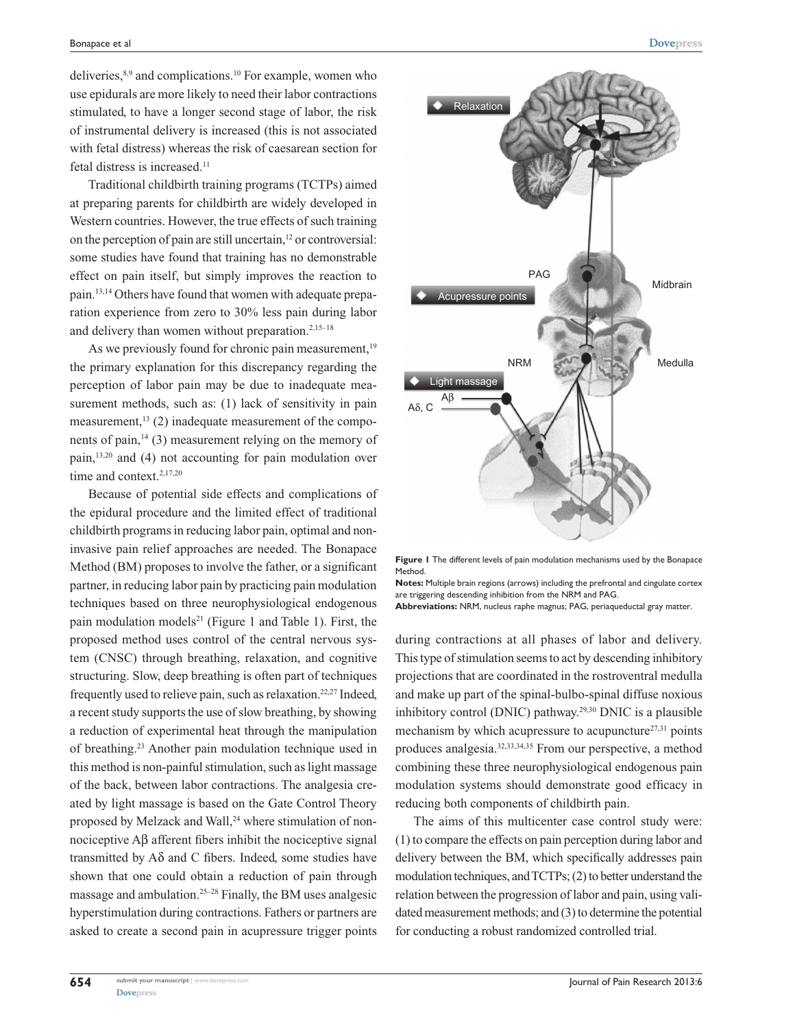deliveries, $8,9$  and complications.<sup>10</sup> For example, women who use epidurals are more likely to need their labor contractions stimulated, to have a longer second stage of labor, the risk of instrumental delivery is increased (this is not associated with fetal distress) whereas the risk of caesarean section for fetal distress is increased.<sup>11</sup>

Traditional childbirth training programs (TCTPs) aimed at preparing parents for childbirth are widely developed in Western countries. However, the true effects of such training on the perception of pain are still uncertain, $^{12}$  or controversial: some studies have found that training has no demonstrable effect on pain itself, but simply improves the reaction to pain.13,14 Others have found that women with adequate preparation experience from zero to 30% less pain during labor and delivery than women without preparation. $2,15-18$ 

As we previously found for chronic pain measurement,<sup>19</sup> the primary explanation for this discrepancy regarding the perception of labor pain may be due to inadequate measurement methods, such as: (1) lack of sensitivity in pain measurement, $13$  (2) inadequate measurement of the components of pain, $14$  (3) measurement relying on the memory of pain,13,20 and (4) not accounting for pain modulation over time and context.<sup>2,17,20</sup>

Because of potential side effects and complications of the epidural procedure and the limited effect of traditional childbirth programs in reducing labor pain, optimal and noninvasive pain relief approaches are needed. The Bonapace Method (BM) proposes to involve the father, or a significant partner, in reducing labor pain by practicing pain modulation techniques based on three neurophysiological endogenous pain modulation models<sup>21</sup> (Figure 1 and Table 1). First, the proposed method uses control of the central nervous system (CNSC) through breathing, relaxation, and cognitive structuring. Slow, deep breathing is often part of techniques frequently used to relieve pain, such as relaxation.<sup>22,27</sup> Indeed, a recent study supports the use of slow breathing, by showing a reduction of experimental heat through the manipulation of breathing.23 Another pain modulation technique used in this method is non-painful stimulation, such as light massage of the back, between labor contractions. The analgesia created by light massage is based on the Gate Control Theory proposed by Melzack and Wall,<sup>24</sup> where stimulation of nonnociceptive AB afferent fibers inhibit the nociceptive signal transmitted by  $A\delta$  and C fibers. Indeed, some studies have shown that one could obtain a reduction of pain through massage and ambulation.25–28 Finally, the BM uses analgesic hyperstimulation during contractions. Fathers or partners are asked to create a second pain in acupressure trigger points



**Figure 1** The different levels of pain modulation mechanisms used by the Bonapace Method.

**Notes:** Multiple brain regions (arrows) including the prefrontal and cingulate cortex are triggering descending inhibition from the NRM and PAG.

**Abbreviations:** NRM, nucleus raphe magnus; PAG, periaqueductal gray matter.

during contractions at all phases of labor and delivery. This type of stimulation seems to act by descending inhibitory projections that are coordinated in the rostroventral medulla and make up part of the spinal-bulbo-spinal diffuse noxious inhibitory control (DNIC) pathway.29,30 DNIC is a plausible mechanism by which acupressure to acupuncture $27,31$  points produces analgesia.32,33,34,35 From our perspective, a method combining these three neurophysiological endogenous pain modulation systems should demonstrate good efficacy in reducing both components of childbirth pain.

The aims of this multicenter case control study were: (1) to compare the effects on pain perception during labor and delivery between the BM, which specifically addresses pain modulation techniques, and TCTPs; (2) to better understand the relation between the progression of labor and pain, using validated measurement methods; and (3) to determine the potential for conducting a robust randomized controlled trial.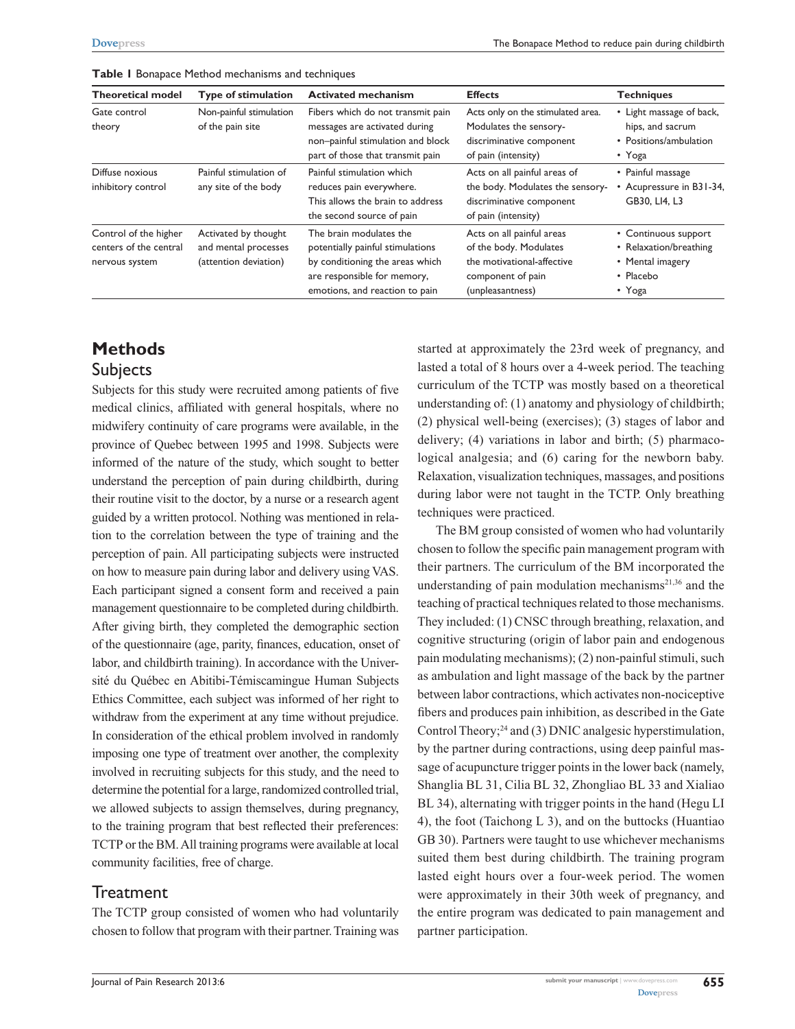| <b>Theoretical model</b>                                          | Type of stimulation                                                   | <b>Activated mechanism</b>                                                                                                                                      | <b>Effects</b>                                                                                                             | <b>Techniques</b>                                                                         |
|-------------------------------------------------------------------|-----------------------------------------------------------------------|-----------------------------------------------------------------------------------------------------------------------------------------------------------------|----------------------------------------------------------------------------------------------------------------------------|-------------------------------------------------------------------------------------------|
| Gate control<br>theory                                            | Non-painful stimulation<br>of the pain site                           | Fibers which do not transmit pain<br>messages are activated during<br>non-painful stimulation and block<br>part of those that transmit pain                     | Acts only on the stimulated area.<br>Modulates the sensory-<br>discriminative component<br>of pain (intensity)             | • Light massage of back,<br>hips, and sacrum<br>• Positions/ambulation<br>• Yoga          |
| Diffuse noxious<br>inhibitory control                             | Painful stimulation of<br>any site of the body                        | Painful stimulation which<br>reduces pain everywhere.<br>This allows the brain to address<br>the second source of pain                                          | Acts on all painful areas of<br>the body. Modulates the sensory-<br>discriminative component<br>of pain (intensity)        | • Painful massage<br>Acupressure in B31-34,<br>GB30, LI4, L3                              |
| Control of the higher<br>centers of the central<br>nervous system | Activated by thought<br>and mental processes<br>(attention deviation) | The brain modulates the<br>potentially painful stimulations<br>by conditioning the areas which<br>are responsible for memory,<br>emotions, and reaction to pain | Acts on all painful areas<br>of the body. Modulates<br>the motivational-affective<br>component of pain<br>(unpleasantness) | • Continuous support<br>• Relaxation/breathing<br>• Mental imagery<br>• Placebo<br>• Yoga |

**Table 1** Bonapace Method mechanisms and techniques

# **Methods**

## Subjects

Subjects for this study were recruited among patients of five medical clinics, affiliated with general hospitals, where no midwifery continuity of care programs were available, in the province of Quebec between 1995 and 1998. Subjects were informed of the nature of the study, which sought to better understand the perception of pain during childbirth, during their routine visit to the doctor, by a nurse or a research agent guided by a written protocol. Nothing was mentioned in relation to the correlation between the type of training and the perception of pain. All participating subjects were instructed on how to measure pain during labor and delivery using VAS. Each participant signed a consent form and received a pain management questionnaire to be completed during childbirth. After giving birth, they completed the demographic section of the questionnaire (age, parity, finances, education, onset of labor, and childbirth training). In accordance with the Université du Québec en Abitibi-Témiscamingue Human Subjects Ethics Committee, each subject was informed of her right to withdraw from the experiment at any time without prejudice. In consideration of the ethical problem involved in randomly imposing one type of treatment over another, the complexity involved in recruiting subjects for this study, and the need to determine the potential for a large, randomized controlled trial, we allowed subjects to assign themselves, during pregnancy, to the training program that best reflected their preferences: TCTP or the BM. All training programs were available at local community facilities, free of charge.

#### **Treatment**

The TCTP group consisted of women who had voluntarily chosen to follow that program with their partner. Training was started at approximately the 23rd week of pregnancy, and lasted a total of 8 hours over a 4-week period. The teaching curriculum of the TCTP was mostly based on a theoretical understanding of: (1) anatomy and physiology of childbirth; (2) physical well-being (exercises); (3) stages of labor and delivery; (4) variations in labor and birth; (5) pharmacological analgesia; and (6) caring for the newborn baby. Relaxation, visualization techniques, massages, and positions during labor were not taught in the TCTP. Only breathing techniques were practiced.

The BM group consisted of women who had voluntarily chosen to follow the specific pain management program with their partners. The curriculum of the BM incorporated the understanding of pain modulation mechanisms $21,36$  and the teaching of practical techniques related to those mechanisms. They included: (1) CNSC through breathing, relaxation, and cognitive structuring (origin of labor pain and endogenous pain modulating mechanisms); (2) non-painful stimuli, such as ambulation and light massage of the back by the partner between labor contractions, which activates non-nociceptive fibers and produces pain inhibition, as described in the Gate Control Theory; $^{24}$  and (3) DNIC analgesic hyperstimulation, by the partner during contractions, using deep painful massage of acupuncture trigger points in the lower back (namely, Shanglia BL 31, Cilia BL 32, Zhongliao BL 33 and Xialiao BL 34), alternating with trigger points in the hand (Hegu LI 4), the foot (Taichong L 3), and on the buttocks (Huantiao GB 30). Partners were taught to use whichever mechanisms suited them best during childbirth. The training program lasted eight hours over a four-week period. The women were approximately in their 30th week of pregnancy, and the entire program was dedicated to pain management and partner participation.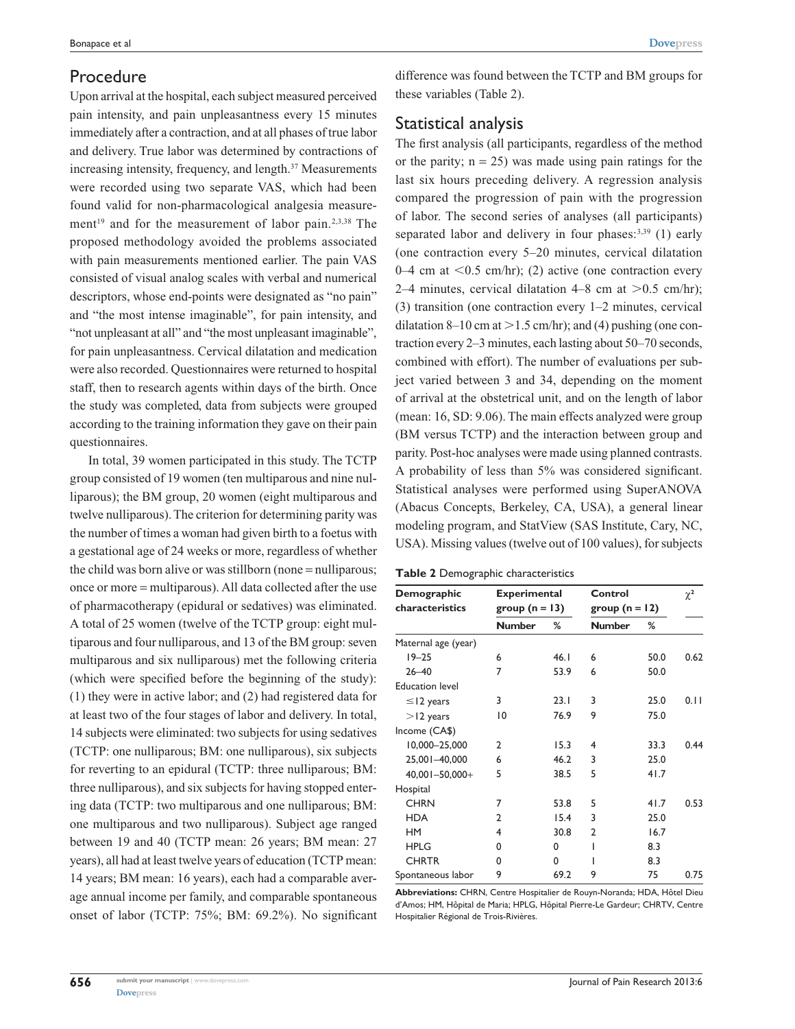#### Procedure

Upon arrival at the hospital, each subject measured perceived pain intensity, and pain unpleasantness every 15 minutes immediately after a contraction, and at all phases of true labor and delivery. True labor was determined by contractions of increasing intensity, frequency, and length.<sup>37</sup> Measurements were recorded using two separate VAS, which had been found valid for non-pharmacological analgesia measurement<sup>19</sup> and for the measurement of labor pain.<sup>2,3,38</sup> The proposed methodology avoided the problems associated with pain measurements mentioned earlier. The pain VAS consisted of visual analog scales with verbal and numerical descriptors, whose end-points were designated as "no pain" and "the most intense imaginable", for pain intensity, and "not unpleasant at all" and "the most unpleasant imaginable", for pain unpleasantness. Cervical dilatation and medication were also recorded. Questionnaires were returned to hospital staff, then to research agents within days of the birth. Once the study was completed, data from subjects were grouped according to the training information they gave on their pain questionnaires.

In total, 39 women participated in this study. The TCTP group consisted of 19 women (ten multiparous and nine nulliparous); the BM group, 20 women (eight multiparous and twelve nulliparous). The criterion for determining parity was the number of times a woman had given birth to a foetus with a gestational age of 24 weeks or more, regardless of whether the child was born alive or was stillborn (none  $=$  nulliparous; once or more  $=$  multiparous). All data collected after the use of pharmacotherapy (epidural or sedatives) was eliminated. A total of 25 women (twelve of the TCTP group: eight multiparous and four nulliparous, and 13 of the BM group: seven multiparous and six nulliparous) met the following criteria (which were specified before the beginning of the study): (1) they were in active labor; and (2) had registered data for at least two of the four stages of labor and delivery. In total, 14 subjects were eliminated: two subjects for using sedatives (TCTP: one nulliparous; BM: one nulliparous), six subjects for reverting to an epidural (TCTP: three nulliparous; BM: three nulliparous), and six subjects for having stopped entering data (TCTP: two multiparous and one nulliparous; BM: one multiparous and two nulliparous). Subject age ranged between 19 and 40 (TCTP mean: 26 years; BM mean: 27 years), all had at least twelve years of education (TCTP mean: 14 years; BM mean: 16 years), each had a comparable average annual income per family, and comparable spontaneous onset of labor (TCTP: 75%; BM: 69.2%). No significant difference was found between the TCTP and BM groups for these variables (Table 2).

## Statistical analysis

The first analysis (all participants, regardless of the method or the parity;  $n = 25$ ) was made using pain ratings for the last six hours preceding delivery. A regression analysis compared the progression of pain with the progression of labor. The second series of analyses (all participants) separated labor and delivery in four phases:<sup>3,39</sup> (1) early (one contraction every 5–20 minutes, cervical dilatation 0–4 cm at  $\leq$  0.5 cm/hr); (2) active (one contraction every 2–4 minutes, cervical dilatation 4–8 cm at  $> 0.5$  cm/hr); (3) transition (one contraction every 1–2 minutes, cervical dilatation 8–10 cm at  $> 1.5$  cm/hr); and (4) pushing (one contraction every 2–3 minutes, each lasting about 50–70 seconds, combined with effort). The number of evaluations per subject varied between 3 and 34, depending on the moment of arrival at the obstetrical unit, and on the length of labor (mean: 16, SD: 9.06). The main effects analyzed were group (BM versus TCTP) and the interaction between group and parity. Post-hoc analyses were made using planned contrasts. A probability of less than 5% was considered significant. Statistical analyses were performed using SuperANOVA (Abacus Concepts, Berkeley, CA, USA), a general linear modeling program, and StatView (SAS Institute, Cary, NC, USA). Missing values (twelve out of 100 values), for subjects

|  |  |  | Table 2 Demographic characteristics |
|--|--|--|-------------------------------------|
|--|--|--|-------------------------------------|

| Demographic            | <b>Experimental</b><br>group ( $n = 13$ ) |          | Control<br>group $(n = 12)$ |      | $\chi^2$ |
|------------------------|-------------------------------------------|----------|-----------------------------|------|----------|
| characteristics        |                                           |          |                             |      |          |
|                        | <b>Number</b>                             | ℅        | <b>Number</b>               | ℅    |          |
| Maternal age (year)    |                                           |          |                             |      |          |
| $19 - 25$              | 6                                         | 46.1     | 6                           | 50.0 | 0.62     |
| $26 - 40$              | 7                                         | 53.9     | 6                           | 50.0 |          |
| <b>Education level</b> |                                           |          |                             |      |          |
| $\leq$ 12 years        | 3                                         | 23.1     | 3                           | 25.0 | 0.11     |
| $>$ 12 years           | 10                                        | 76.9     | 9                           | 75.0 |          |
| Income (CA\$)          |                                           |          |                             |      |          |
| 10,000-25,000          | $\mathcal{P}$                             | 15.3     | 4                           | 33.3 | 0.44     |
| 25,001-40,000          | 6                                         | 46.2     | 3                           | 25.0 |          |
| 40,001-50,000+         | 5                                         | 38.5     | 5                           | 41.7 |          |
| Hospital               |                                           |          |                             |      |          |
| <b>CHRN</b>            | 7                                         | 53.8     | 5                           | 41.7 | 0.53     |
| <b>HDA</b>             | C.                                        | 15.4     | 3                           | 25.0 |          |
| <b>HM</b>              | 4                                         | 30.8     | $\overline{2}$              | 16.7 |          |
| <b>HPLG</b>            | 0                                         | $\Omega$ | I                           | 8.3  |          |
| <b>CHRTR</b>           | O                                         | 0        |                             | 8.3  |          |
| Spontaneous labor      | 9                                         | 69.2     | 9                           | 75   | 0.75     |

**Abbreviations:** CHRN, Centre Hospitalier de Rouyn-Noranda; HDA, Hôtel Dieu d'Amos; HM, Hôpital de Maria; HPLG, Hôpital Pierre-Le Gardeur; CHRTV, Centre Hospitalier Régional de Trois-Rivières.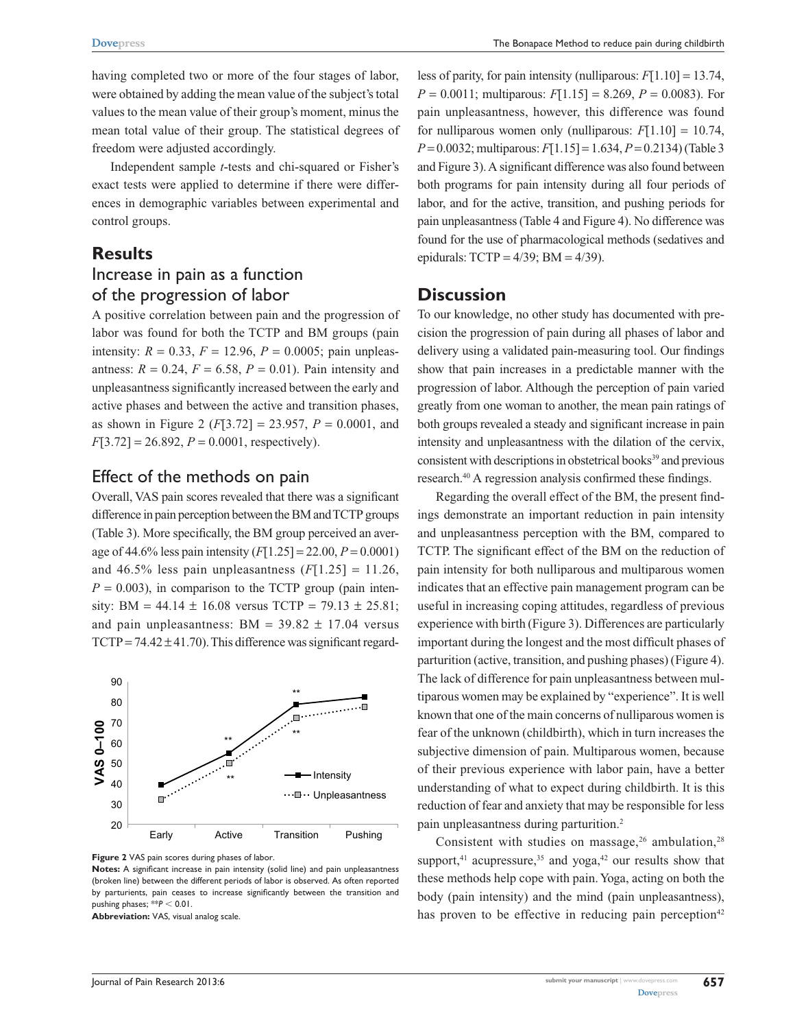having completed two or more of the four stages of labor, were obtained by adding the mean value of the subject's total values to the mean value of their group's moment, minus the mean total value of their group. The statistical degrees of freedom were adjusted accordingly.

Independent sample *t*-tests and chi-squared or Fisher's exact tests were applied to determine if there were differences in demographic variables between experimental and control groups.

#### **Results**

## Increase in pain as a function of the progression of labor

A positive correlation between pain and the progression of labor was found for both the TCTP and BM groups (pain intensity:  $R = 0.33$ ,  $F = 12.96$ ,  $P = 0.0005$ ; pain unpleasantness:  $R = 0.24$ ,  $F = 6.58$ ,  $P = 0.01$ ). Pain intensity and unpleasantness significantly increased between the early and active phases and between the active and transition phases, as shown in Figure 2  $(F[3.72] = 23.957, P = 0.0001,$  and  $F[3.72] = 26.892, P = 0.0001$ , respectively).

#### Effect of the methods on pain

Overall, VAS pain scores revealed that there was a significant difference in pain perception between the BM and TCTP groups (Table 3). More specifically, the BM group perceived an average of 44.6% less pain intensity  $(F[1.25] = 22.00, P = 0.0001)$ and 46.5% less pain unpleasantness  $(F[1.25] = 11.26,$  $P = 0.003$ ), in comparison to the TCTP group (pain intensity: BM =  $44.14 \pm 16.08$  versus TCTP =  $79.13 \pm 25.81$ ; and pain unpleasantness:  $BM = 39.82 \pm 17.04$  versus TCTP =  $74.42 \pm 41.70$ ). This difference was significant regard-



**Notes:** A significant increase in pain intensity (solid line) and pain unpleasantness (broken line) between the different periods of labor is observed. As often reported by parturients, pain ceases to increase significantly between the transition and pushing phases;  $*P < 0.01$ .

**Abbreviation:** VAS, visual analog scale.

less of parity, for pain intensity (nulliparous:  $F[1.10] = 13.74$ ,  $P = 0.0011$ ; multiparous:  $F[1.15] = 8.269$ ,  $P = 0.0083$ ). For pain unpleasantness, however, this difference was found for nulliparous women only (nulliparous:  $F[1,10] = 10.74$ ,  $P = 0.0032$ ; multiparous:  $F[1.15] = 1.634$ ,  $P = 0.2134$ ) (Table 3 and Figure 3). A significant difference was also found between both programs for pain intensity during all four periods of labor, and for the active, transition, and pushing periods for pain unpleasantness (Table 4 and Figure 4). No difference was found for the use of pharmacological methods (sedatives and epidurals:  $TCTP = 4/39$ ;  $BM = 4/39$ ).

### **Discussion**

To our knowledge, no other study has documented with precision the progression of pain during all phases of labor and delivery using a validated pain-measuring tool. Our findings show that pain increases in a predictable manner with the progression of labor. Although the perception of pain varied greatly from one woman to another, the mean pain ratings of both groups revealed a steady and significant increase in pain intensity and unpleasantness with the dilation of the cervix, consistent with descriptions in obstetrical books<sup>39</sup> and previous research.40 A regression analysis confirmed these findings.

Regarding the overall effect of the BM, the present findings demonstrate an important reduction in pain intensity and unpleasantness perception with the BM, compared to TCTP. The significant effect of the BM on the reduction of pain intensity for both nulliparous and multiparous women indicates that an effective pain management program can be useful in increasing coping attitudes, regardless of previous experience with birth (Figure 3). Differences are particularly important during the longest and the most difficult phases of parturition (active, transition, and pushing phases) (Figure 4). The lack of difference for pain unpleasantness between multiparous women may be explained by "experience". It is well known that one of the main concerns of nulliparous women is fear of the unknown (childbirth), which in turn increases the subjective dimension of pain. Multiparous women, because of their previous experience with labor pain, have a better understanding of what to expect during childbirth. It is this reduction of fear and anxiety that may be responsible for less pain unpleasantness during parturition.2

Consistent with studies on massage,<sup>26</sup> ambulation,<sup>28</sup> support, $41$  acupressure, $35$  and yoga, $42$  our results show that these methods help cope with pain. Yoga, acting on both the body (pain intensity) and the mind (pain unpleasantness), has proven to be effective in reducing pain perception<sup>42</sup>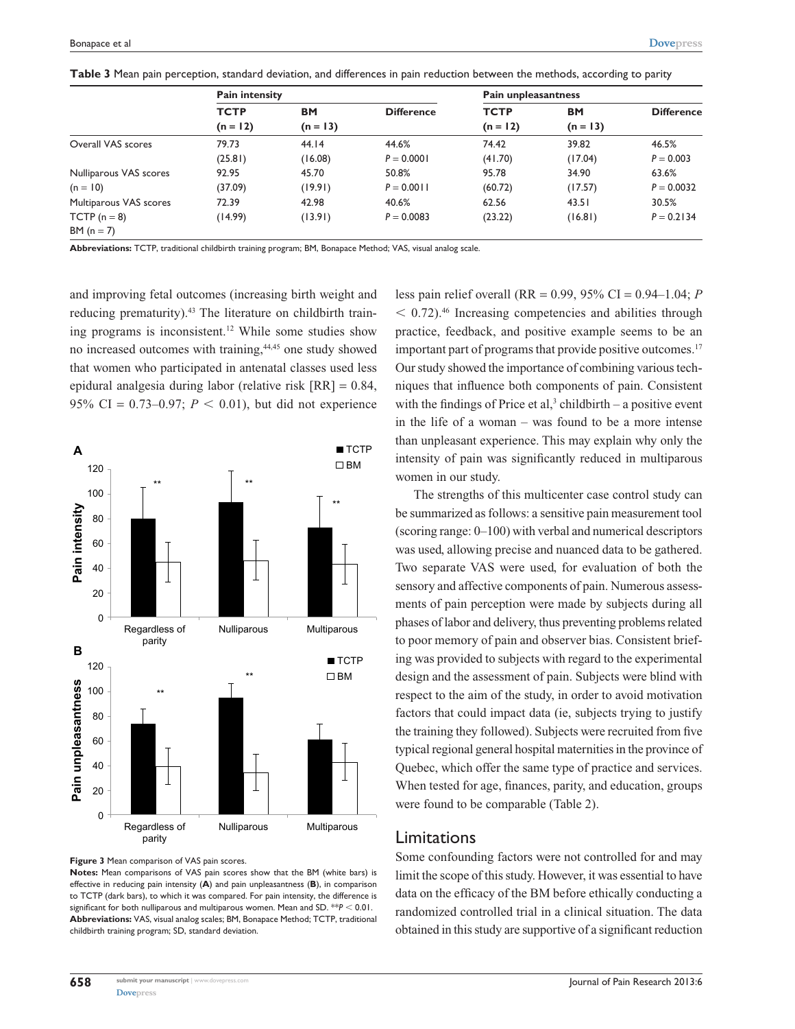|                        | Pain intensity            |                         |                   | Pain unpleasantness       |                         |                   |
|------------------------|---------------------------|-------------------------|-------------------|---------------------------|-------------------------|-------------------|
|                        | <b>TCTP</b><br>$(n = 12)$ | <b>BM</b><br>$(n = 13)$ | <b>Difference</b> | <b>TCTP</b><br>$(n = 12)$ | <b>BM</b><br>$(n = 13)$ | <b>Difference</b> |
|                        |                           |                         |                   |                           |                         |                   |
| Overall VAS scores     | 79.73                     | 44.14                   | 44.6%             | 74.42                     | 39.82                   | 46.5%             |
|                        | (25.81)                   | (16.08)                 | $P = 0.0001$      | (41.70)                   | (17.04)                 | $P = 0.003$       |
| Nulliparous VAS scores | 92.95                     | 45.70                   | 50.8%             | 95.78                     | 34.90                   | 63.6%             |
| $(n = 10)$             | (37.09)                   | (19.91)                 | $P = 0.0011$      | (60.72)                   | (17.57)                 | $P = 0.0032$      |
| Multiparous VAS scores | 72.39                     | 42.98                   | 40.6%             | 62.56                     | 43.51                   | 30.5%             |
| $TCTP(n = 8)$          | (14.99)                   | (13.91)                 | $P = 0.0083$      | (23.22)                   | (16.81)                 | $P = 0.2134$      |
| $BM (n = 7)$           |                           |                         |                   |                           |                         |                   |

**Table 3** Mean pain perception, standard deviation, and differences in pain reduction between the methods, according to parity

**Abbreviations:** TCTP, traditional childbirth training program; BM, Bonapace Method; VAS, visual analog scale.

and improving fetal outcomes (increasing birth weight and reducing prematurity).<sup>43</sup> The literature on childbirth training programs is inconsistent.12 While some studies show no increased outcomes with training,44,45 one study showed that women who participated in antenatal classes used less epidural analgesia during labor (relative risk  $[RR] = 0.84$ , 95% CI =  $0.73-0.97$ ;  $P < 0.01$ ), but did not experience



**Figure 3** Mean comparison of VAS pain scores.

**Notes:** Mean comparisons of VAS pain scores show that the BM (white bars) is effective in reducing pain intensity (**A**) and pain unpleasantness (**B**), in comparison to TCTP (dark bars), to which it was compared. For pain intensity, the difference is significant for both nulliparous and multiparous women. Mean and SD. \*\* $P < 0.01$ . **Abbreviations:** VAS, visual analog scales; BM, Bonapace Method; TCTP, traditional childbirth training program; SD, standard deviation.

less pain relief overall (RR = 0.99, 95% CI = 0.94–1.04; *P*  $< 0.72$ ).<sup>46</sup> Increasing competencies and abilities through practice, feedback, and positive example seems to be an important part of programs that provide positive outcomes.<sup>17</sup> Our study showed the importance of combining various techniques that influence both components of pain. Consistent with the findings of Price et al,<sup>3</sup> childbirth – a positive event in the life of a woman – was found to be a more intense than unpleasant experience. This may explain why only the intensity of pain was significantly reduced in multiparous women in our study.

The strengths of this multicenter case control study can be summarized as follows: a sensitive pain measurement tool (scoring range: 0–100) with verbal and numerical descriptors was used, allowing precise and nuanced data to be gathered. Two separate VAS were used, for evaluation of both the sensory and affective components of pain. Numerous assessments of pain perception were made by subjects during all phases of labor and delivery, thus preventing problems related to poor memory of pain and observer bias. Consistent briefing was provided to subjects with regard to the experimental design and the assessment of pain. Subjects were blind with respect to the aim of the study, in order to avoid motivation factors that could impact data (ie, subjects trying to justify the training they followed). Subjects were recruited from five typical regional general hospital maternities in the province of Quebec, which offer the same type of practice and services. When tested for age, finances, parity, and education, groups were found to be comparable (Table 2).

#### Limitations

Some confounding factors were not controlled for and may limit the scope of this study. However, it was essential to have data on the efficacy of the BM before ethically conducting a randomized controlled trial in a clinical situation. The data obtained in this study are supportive of a significant reduction

**[Dovepress](www.dovepress.com)**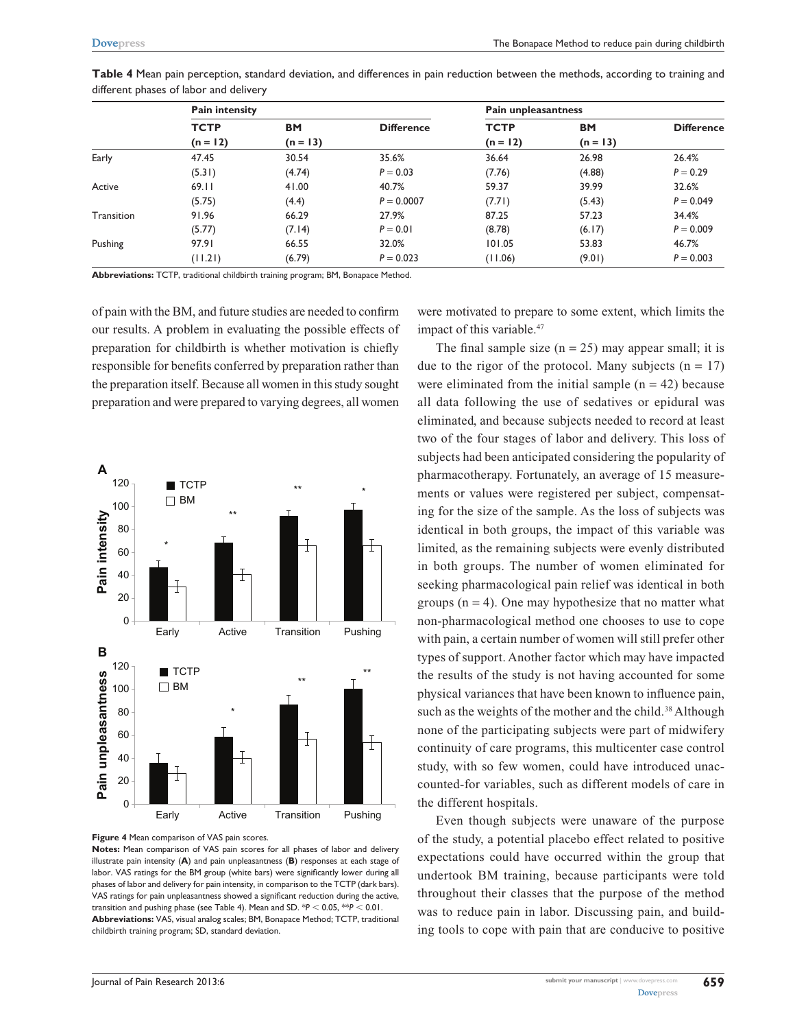|            | Pain intensity |            |                   |             | Pain unpleasantness |                   |  |
|------------|----------------|------------|-------------------|-------------|---------------------|-------------------|--|
|            | <b>TCTP</b>    | <b>BM</b>  | <b>Difference</b> | <b>TCTP</b> | <b>BM</b>           | <b>Difference</b> |  |
|            | $(n = 12)$     | $(n = 13)$ |                   | $(n = 12)$  | $(n = 13)$          |                   |  |
| Early      | 47.45          | 30.54      | 35.6%             | 36.64       | 26.98               | 26.4%             |  |
|            | (5.31)         | (4.74)     | $P = 0.03$        | (7.76)      | (4.88)              | $P = 0.29$        |  |
| Active     | 69.11          | 41.00      | 40.7%             | 59.37       | 39.99               | 32.6%             |  |
|            | (5.75)         | (4.4)      | $P = 0.0007$      | (7.71)      | (5.43)              | $P = 0.049$       |  |
| Transition | 91.96          | 66.29      | 27.9%             | 87.25       | 57.23               | 34.4%             |  |
|            | (5.77)         | (7.14)     | $P = 0.01$        | (8.78)      | (6.17)              | $P = 0.009$       |  |
| Pushing    | 97.91          | 66.55      | 32.0%             | 101.05      | 53.83               | 46.7%             |  |
|            | (11.21)        | (6.79)     | $P = 0.023$       | (11.06)     | (9.01)              | $P = 0.003$       |  |

**Table 4** Mean pain perception, standard deviation, and differences in pain reduction between the methods, according to training and different phases of labor and delivery

**Abbreviations:** TCTP, traditional childbirth training program; BM, Bonapace Method.

of pain with the BM, and future studies are needed to confirm our results. A problem in evaluating the possible effects of preparation for childbirth is whether motivation is chiefly responsible for benefits conferred by preparation rather than the preparation itself. Because all women in this study sought preparation and were prepared to varying degrees, all women



**Figure 4** Mean comparison of VAS pain scores.

**Notes:** Mean comparison of VAS pain scores for all phases of labor and delivery illustrate pain intensity (**A**) and pain unpleasantness (**B**) responses at each stage of labor. VAS ratings for the BM group (white bars) were significantly lower during all phases of labor and delivery for pain intensity, in comparison to the TCTP (dark bars). VAS ratings for pain unpleasantness showed a significant reduction during the active, transition and pushing phase (see Table 4). Mean and SD.  $*P < 0.05$ ,  $*P < 0.01$ . **Abbreviations:** VAS, visual analog scales; BM, Bonapace Method; TCTP, traditional childbirth training program; SD, standard deviation.

were motivated to prepare to some extent, which limits the impact of this variable.47

The final sample size  $(n = 25)$  may appear small; it is due to the rigor of the protocol. Many subjects  $(n = 17)$ were eliminated from the initial sample  $(n = 42)$  because all data following the use of sedatives or epidural was eliminated, and because subjects needed to record at least two of the four stages of labor and delivery. This loss of subjects had been anticipated considering the popularity of pharmacotherapy. Fortunately, an average of 15 measurements or values were registered per subject, compensating for the size of the sample. As the loss of subjects was identical in both groups, the impact of this variable was limited, as the remaining subjects were evenly distributed in both groups. The number of women eliminated for seeking pharmacological pain relief was identical in both groups  $(n = 4)$ . One may hypothesize that no matter what non-pharmacological method one chooses to use to cope with pain, a certain number of women will still prefer other types of support. Another factor which may have impacted the results of the study is not having accounted for some physical variances that have been known to influence pain, such as the weights of the mother and the child.<sup>38</sup> Although none of the participating subjects were part of midwifery continuity of care programs, this multicenter case control study, with so few women, could have introduced unaccounted-for variables, such as different models of care in the different hospitals.

Even though subjects were unaware of the purpose of the study, a potential placebo effect related to positive expectations could have occurred within the group that undertook BM training, because participants were told throughout their classes that the purpose of the method was to reduce pain in labor. Discussing pain, and building tools to cope with pain that are conducive to positive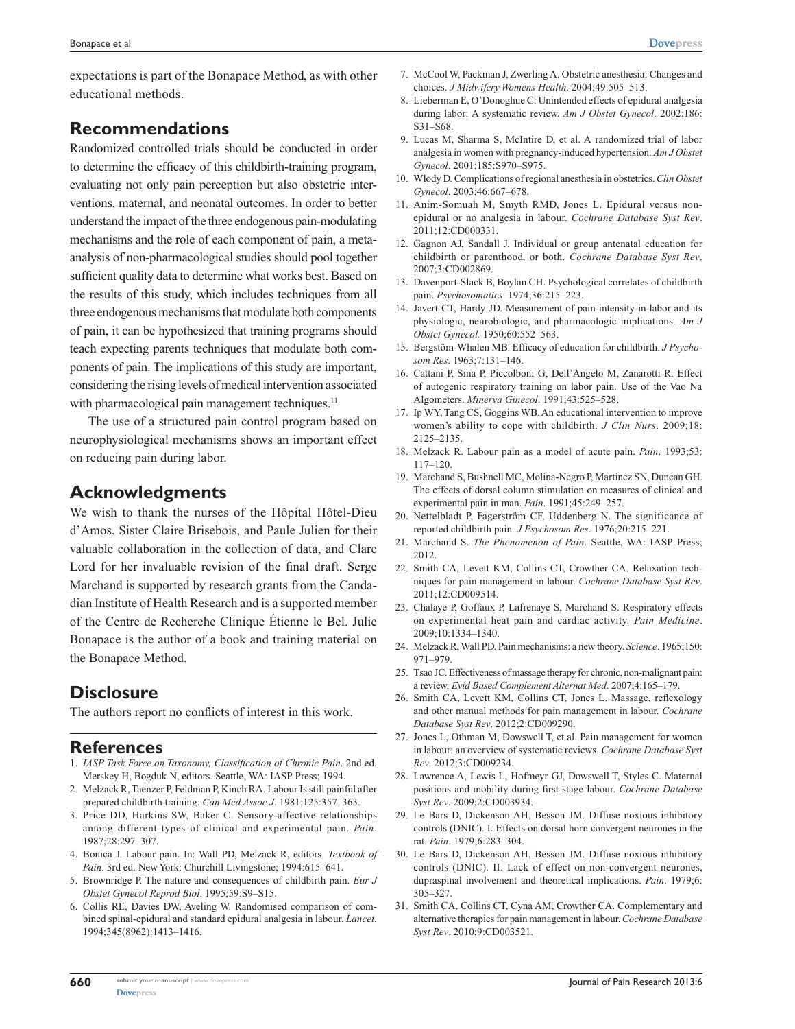expectations is part of the Bonapace Method, as with other educational methods.

## **Recommendations**

Randomized controlled trials should be conducted in order to determine the efficacy of this childbirth-training program, evaluating not only pain perception but also obstetric interventions, maternal, and neonatal outcomes. In order to better understand the impact of the three endogenous pain-modulating mechanisms and the role of each component of pain, a metaanalysis of non-pharmacological studies should pool together sufficient quality data to determine what works best. Based on the results of this study, which includes techniques from all three endogenous mechanisms that modulate both components of pain, it can be hypothesized that training programs should teach expecting parents techniques that modulate both components of pain. The implications of this study are important, considering the rising levels of medical intervention associated with pharmacological pain management techniques.<sup>11</sup>

The use of a structured pain control program based on neurophysiological mechanisms shows an important effect on reducing pain during labor.

### **Acknowledgments**

We wish to thank the nurses of the Hôpital Hôtel-Dieu d'Amos, Sister Claire Brisebois, and Paule Julien for their valuable collaboration in the collection of data, and Clare Lord for her invaluable revision of the final draft. Serge Marchand is supported by research grants from the Candadian Institute of Health Research and is a supported member of the Centre de Recherche Clinique Étienne le Bel. Julie Bonapace is the author of a book and training material on the Bonapace Method.

## **Disclosure**

The authors report no conflicts of interest in this work.

#### **References**

- 1. *IASP Task Force on Taxonomy, Classification of Chronic Pain*. 2nd ed. Merskey H, Bogduk N, editors. Seattle, WA: IASP Press; 1994.
- 2. Melzack R, Taenzer P, Feldman P, Kinch RA. Labour Is still painful after prepared childbirth training. *Can Med Assoc J*. 1981;125:357–363.
- 3. Price DD, Harkins SW, Baker C. Sensory-affective relationships among different types of clinical and experimental pain. *Pain*. 1987;28:297–307.
- 4. Bonica J. Labour pain. In: Wall PD, Melzack R, editors. *Textbook of Pain*. 3rd ed. New York: Churchill Livingstone; 1994:615–641.
- 5. Brownridge P. The nature and consequences of childbirth pain. *Eur J Obstet Gynecol Reprod Biol*. 1995;59:S9–S15.
- 6. Collis RE, Davies DW, Aveling W. Randomised comparison of combined spinal-epidural and standard epidural analgesia in labour. *Lancet*. 1994;345(8962):1413–1416.
- 7. McCool W, Packman J, Zwerling A. Obstetric anesthesia: Changes and choices. *J Midwifery Womens Health*. 2004;49:505–513.
- 8. Lieberman E, O'Donoghue C. Unintended effects of epidural analgesia during labor: A systematic review. *Am J Obstet Gynecol*. 2002;186: S31–S68.
- 9. Lucas M, Sharma S, McIntire D, et al. A randomized trial of labor analgesia in women with pregnancy-induced hypertension. *Am J Obstet Gynecol*. 2001;185:S970–S975.
- 10. Wlody D. Complications of regional anesthesia in obstetrics. *Clin Obstet Gynecol*. 2003;46:667–678.
- 11. Anim-Somuah M, Smyth RMD, Jones L. Epidural versus nonepidural or no analgesia in labour. *Cochrane Database Syst Rev*. 2011;12:CD000331.
- 12. Gagnon AJ, Sandall J. Individual or group antenatal education for childbirth or parenthood, or both. *Cochrane Database Syst Rev*. 2007;3:CD002869.
- 13. Davenport-Slack B, Boylan CH. Psychological correlates of childbirth pain. *Psychosomatics*. 1974;36:215–223.
- 14. Javert CT, Hardy JD. Measurement of pain intensity in labor and its physiologic, neurobiologic, and pharmacologic implications. *Am J Obstet Gynecol.* 1950;60:552–563.
- 15. Bergstöm-Whalen MB. Efficacy of education for childbirth. *J Psychosom Res*. 1963;7:131–146.
- 16. Cattani P, Sina P, Piccolboni G, Dell'Angelo M, Zanarotti R. Effect of autogenic respiratory training on labor pain. Use of the Vao Na Algometers. *Minerva Ginecol*. 1991;43:525–528.
- 17. Ip WY, Tang CS, Goggins WB. An educational intervention to improve women's ability to cope with childbirth. *J Clin Nurs*. 2009;18: 2125–2135.
- 18. Melzack R. Labour pain as a model of acute pain. *Pain*. 1993;53: 117–120.
- 19. Marchand S, Bushnell MC, Molina-Negro P, Martinez SN, Duncan GH. The effects of dorsal column stimulation on measures of clinical and experimental pain in man. *Pain*. 1991;45:249–257.
- 20. Nettelbladt P, Fagerström CF, Uddenberg N. The significance of reported childbirth pain. *J Psychosom Res*. 1976;20:215–221.
- 21. Marchand S. *The Phenomenon of Pain*. Seattle, WA: IASP Press; 2012.
- 22. Smith CA, Levett KM, Collins CT, Crowther CA. Relaxation techniques for pain management in labour. *Cochrane Database Syst Rev*. 2011;12:CD009514.
- 23. Chalaye P, Goffaux P, Lafrenaye S, Marchand S. Respiratory effects on experimental heat pain and cardiac activity. *Pain Medicine*. 2009;10:1334–1340.
- 24. Melzack R, Wall PD. Pain mechanisms: a new theory. *Science*. 1965;150: 971–979.
- 25. Tsao JC. Effectiveness of massage therapy for chronic, non-malignant pain: a review. *Evid Based Complement Alternat Med*. 2007;4:165–179.
- 26. Smith CA, Levett KM, Collins CT, Jones L. Massage, reflexology and other manual methods for pain management in labour. *Cochrane Database Syst Rev*. 2012;2:CD009290.
- 27. Jones L, Othman M, Dowswell T, et al. Pain management for women in labour: an overview of systematic reviews. *Cochrane Database Syst Rev*. 2012;3:CD009234.
- 28. Lawrence A, Lewis L, Hofmeyr GJ, Dowswell T, Styles C. Maternal positions and mobility during first stage labour. *Cochrane Database Syst Rev*. 2009;2:CD003934.
- 29. Le Bars D, Dickenson AH, Besson JM. Diffuse noxious inhibitory controls (DNIC). I. Effects on dorsal horn convergent neurones in the rat. *Pain*. 1979;6:283–304.
- 30. Le Bars D, Dickenson AH, Besson JM. Diffuse noxious inhibitory controls (DNIC). II. Lack of effect on non-convergent neurones, dupraspinal involvement and theoretical implications. *Pain*. 1979;6: 305–327.
- 31. Smith CA, Collins CT, Cyna AM, Crowther CA. Complementary and alternative therapies for pain management in labour. *Cochrane Database Syst Rev*. 2010;9:CD003521.